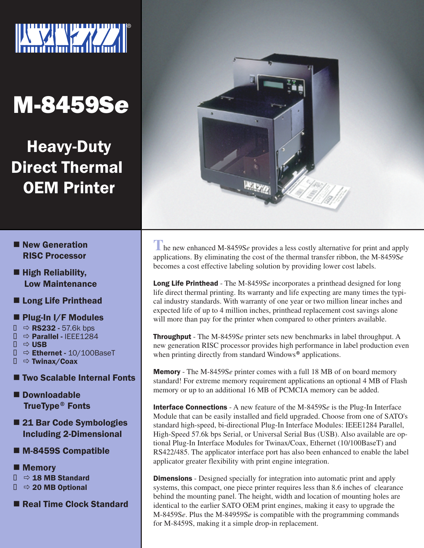

# M-8459S*e*

Heavy-Duty Direct Thermal OEM Printer

- **New Generation**  RISC Processor
- $\blacksquare$  High Reliability, Low Maintenance
- Long Life Printhead

# $\blacksquare$  Plug-In I/F Modules

- $\Rightarrow$  RS232 57.6k bps
- $\Rightarrow$  Parallel IFFF1284
- $\Rightarrow$  USB
- $\Rightarrow$  Ethernet 10/100BaseT
- $\Rightarrow$  Twinax/Coax
- Two Scalable Internal Fonts
- Downloadable TrueType® Fonts
- 21 Bar Code Symbologies Including 2-Dimensional
- M-8459S Compatible
- **Nemory**  $\Rightarrow$  18 MB Standard
	- $\Rightarrow$  20 MB Optional
- Real Time Clock Standard



**T**he new enhanced M-8459S*e* provides a less costly alternative for print and apply applications. By eliminating the cost of the thermal transfer ribbon, the M-8459S*e* becomes a cost effective labeling solution by providing lower cost labels.

Long Life Printhead - The M-8459S*e* incorporates a printhead designed for long life direct thermal printing. Its warranty and life expecting are many times the typical industry standards. With warranty of one year or two million linear inches and expected life of up to 4 million inches, printhead replacement cost savings alone will more than pay for the printer when compared to other printers available.

Throughput - The M-8459S*e* printer sets new benchmarks in label throughput. A new generation RISC processor provides high performance in label production even when printing directly from standard Windows<sup>®</sup> applications.

Memory - The M-8459S*e* printer comes with a full 18 MB of on board memory standard! For extreme memory requirement applications an optional 4 MB of Flash memory or up to an additional 16 MB of PCMCIA memory can be added.

Interface Connections - A new feature of the M-8459S*e* is the Plug-In Interface Module that can be easily installed and field upgraded. Choose from one of SATO's standard high-speed, bi-directional Plug-In Interface Modules: IEEE1284 Parallel, High-Speed 57.6k bps Serial, or Universal Serial Bus (USB). Also available are optional Plug-In Interface Modules for Twinax/Coax, Ethernet (10/100BaseT) and RS422/485. The applicator interface port has also been enhanced to enable the label applicator greater flexibility with print engine integration.

**Dimensions** - Designed specially for integration into automatic print and apply systems, this compact, one piece printer requires less than 8.6 inches of clearance behind the mounting panel. The height, width and location of mounting holes are identical to the earlier SATO OEM print engines, making it easy to upgrade the M-8459S*e*. Plus the M-84959S*e* is compatible with the programming commands for M-8459S, making it a simple drop-in replacement.